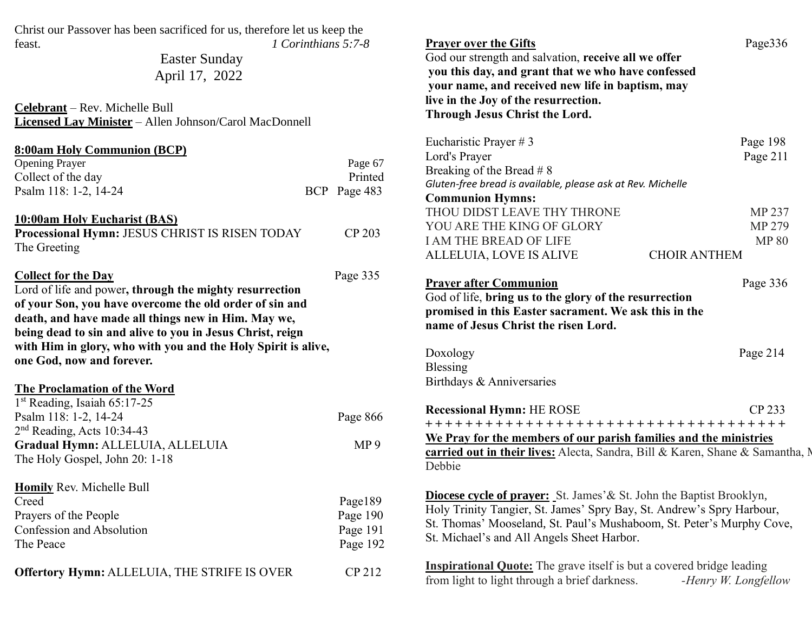Christ our Passover has been sacrificed for us, therefore let us keep the feast. *1 Corinthians 5:7-8*

> Easter Sunday April 17, 2022

**Celebrant** – Rev. Michelle Bull **Licensed Lay Minister** – Allen Johnson/Carol MacDonnell

| 8:00am Holy Communion (BCP)                                                                                                                                                                                                                                                                                                                                        |                 |
|--------------------------------------------------------------------------------------------------------------------------------------------------------------------------------------------------------------------------------------------------------------------------------------------------------------------------------------------------------------------|-----------------|
| <b>Opening Prayer</b>                                                                                                                                                                                                                                                                                                                                              | Page 67         |
| Collect of the day                                                                                                                                                                                                                                                                                                                                                 | Printed         |
| Psalm 118: 1-2, 14-24                                                                                                                                                                                                                                                                                                                                              | BCP Page 483    |
| <b>10:00am Holy Eucharist (BAS)</b><br>Processional Hymn: JESUS CHRIST IS RISEN TODAY<br>The Greeting                                                                                                                                                                                                                                                              | CP 203          |
| <b>Collect for the Day</b><br>Lord of life and power, through the mighty resurrection<br>of your Son, you have overcome the old order of sin and<br>death, and have made all things new in Him. May we,<br>being dead to sin and alive to you in Jesus Christ, reign<br>with Him in glory, who with you and the Holy Spirit is alive,<br>one God, now and forever. | Page 335        |
| <b>The Proclamation of the Word</b><br>1 <sup>st</sup> Reading, Isaiah 65:17-25                                                                                                                                                                                                                                                                                    |                 |
| Psalm 118: 1-2, 14-24                                                                                                                                                                                                                                                                                                                                              | Page 866        |
| 2 <sup>nd</sup> Reading, Acts 10:34-43                                                                                                                                                                                                                                                                                                                             |                 |
| Gradual Hymn: ALLELUIA, ALLELUIA                                                                                                                                                                                                                                                                                                                                   | MP <sub>9</sub> |
| The Holy Gospel, John 20: 1-18                                                                                                                                                                                                                                                                                                                                     |                 |
| Homily Rev. Michelle Bull                                                                                                                                                                                                                                                                                                                                          |                 |
| Creed                                                                                                                                                                                                                                                                                                                                                              | Page189         |
| Prayers of the People                                                                                                                                                                                                                                                                                                                                              | Page 190        |
| Confession and Absolution                                                                                                                                                                                                                                                                                                                                          | Page 191        |
| The Peace                                                                                                                                                                                                                                                                                                                                                          | Page 192        |
| Offertory Hymn: ALLELUIA, THE STRIFE IS OVER                                                                                                                                                                                                                                                                                                                       | CP 212          |

**Prayer over the Gifts** Page 336 God our strength and salvation, **receive all we offer you this day, and grant that we who have confessed your name, and received new life in baptism, may live in the Joy of the resurrection. Through Jesus Christ the Lord.** Eucharistic Prayer # 3 Page 198 Lord's Prayer Page 211 Breaking of the Bread # 8 *Gluten-free bread is available, please ask at Rev. Michelle* **Communion Hymns:** THOU DIDST LEAVE THY THRONE MP 237 YOU ARE THE KING OF GLORY MP 279 I AM THE BREAD OF LIFE MP 80 ALLELUIA, LOVE IS ALIVE CHOIR ANTHEM **Prayer after Communion** Page 336

God of life, **bring us to the glory of the resurrection promised in this Easter sacrament. We ask this in the name of Jesus Christ the risen Lord.**

| Doxology                  | Page $214$ |
|---------------------------|------------|
| Blessing                  |            |
| Birthdays & Anniversaries |            |
|                           |            |

| <b>Recessional Hymn: HE ROSE</b>                                                     | CP 233 |  |  |
|--------------------------------------------------------------------------------------|--------|--|--|
| +++++++++++++++++++++++++++++++++++++                                                |        |  |  |
| We Pray for the members of our parish families and the ministries                    |        |  |  |
| <b>carried out in their lives:</b> Alecta, Sandra, Bill & Karen, Shane & Samantha, N |        |  |  |
| Debbie                                                                               |        |  |  |
|                                                                                      |        |  |  |

**Diocese cycle of prayer:** St. James'& St. John the Baptist Brooklyn, Holy Trinity Tangier, St. James' Spry Bay, St. Andrew's Spry Harbour, St. Thomas' Mooseland, St. Paul's Mushaboom, St. Peter's Murphy Cove, St. Michael's and All Angels Sheet Harbor.

**Inspirational Quote:** The grave itself is but a covered bridge leading from light to light through a brief darkness. *-Henry W. Longfellow*